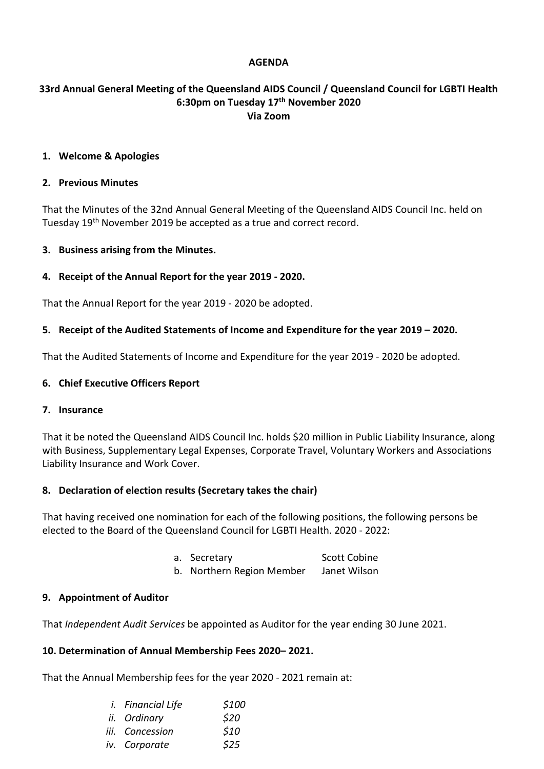### **AGENDA**

## **33rd Annual General Meeting of the Queensland AIDS Council / Queensland Council for LGBTI Health 6:30pm on Tuesday 17th November 2020 Via Zoom**

#### **1. Welcome & Apologies**

#### **2. Previous Minutes**

That the Minutes of the 32nd Annual General Meeting of the Queensland AIDS Council Inc. held on Tuesday 19th November 2019 be accepted as a true and correct record.

### **3. Business arising from the Minutes.**

### **4. Receipt of the Annual Report for the year 2019 - 2020.**

That the Annual Report for the year 2019 - 2020 be adopted.

#### **5. Receipt of the Audited Statements of Income and Expenditure for the year 2019 – 2020.**

That the Audited Statements of Income and Expenditure for the year 2019 - 2020 be adopted.

#### **6. Chief Executive Officers Report**

#### **7. Insurance**

That it be noted the Queensland AIDS Council Inc. holds \$20 million in Public Liability Insurance, along with Business, Supplementary Legal Expenses, Corporate Travel, Voluntary Workers and Associations Liability Insurance and Work Cover.

### **8. Declaration of election results (Secretary takes the chair)**

That having received one nomination for each of the following positions, the following persons be elected to the Board of the Queensland Council for LGBTI Health. 2020 - 2022:

- a. Secretary Scott Cobine
- b. Northern Region Member Janet Wilson

#### **9. Appointment of Auditor**

That *Independent Audit Services* be appointed as Auditor for the year ending 30 June 2021.

#### **10. Determination of Annual Membership Fees 2020– 2021.**

That the Annual Membership fees for the year 2020 - 2021 remain at:

| <i>i.</i> Financial Life | \$100 |
|--------------------------|-------|
| ii. Ordinary             | \$20  |
| iii. Concession          | \$10  |
| iv. Corporate            | \$25  |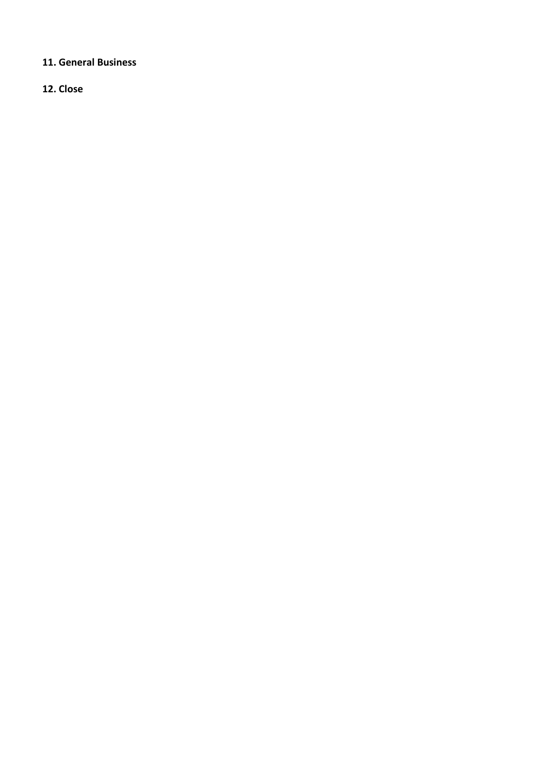# **11. General Business**

**12. Close**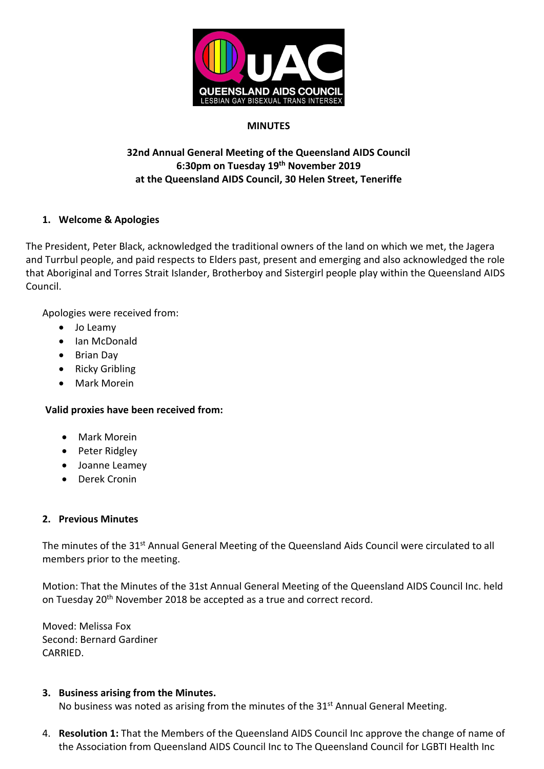

## **MINUTES**

# **32nd Annual General Meeting of the Queensland AIDS Council 6:30pm on Tuesday 19th November 2019 at the Queensland AIDS Council, 30 Helen Street, Teneriffe**

# **1. Welcome & Apologies**

The President, Peter Black, acknowledged the traditional owners of the land on which we met, the Jagera and Turrbul people, and paid respects to Elders past, present and emerging and also acknowledged the role that Aboriginal and Torres Strait Islander, Brotherboy and Sistergirl people play within the Queensland AIDS Council.

Apologies were received from:

- Jo Leamy
- Ian McDonald
- Brian Day
- Ricky Gribling
- Mark Morein

# **Valid proxies have been received from:**

- Mark Morein
- Peter Ridgley
- Joanne Leamey
- Derek Cronin

# **2. Previous Minutes**

The minutes of the 31<sup>st</sup> Annual General Meeting of the Queensland Aids Council were circulated to all members prior to the meeting.

Motion: That the Minutes of the 31st Annual General Meeting of the Queensland AIDS Council Inc. held on Tuesday 20<sup>th</sup> November 2018 be accepted as a true and correct record.

Moved: Melissa Fox Second: Bernard Gardiner CARRIED.

### **3. Business arising from the Minutes.**

No business was noted as arising from the minutes of the 31<sup>st</sup> Annual General Meeting.

4. **Resolution 1:** That the Members of the Queensland AIDS Council Inc approve the change of name of the Association from Queensland AIDS Council Inc to The Queensland Council for LGBTI Health Inc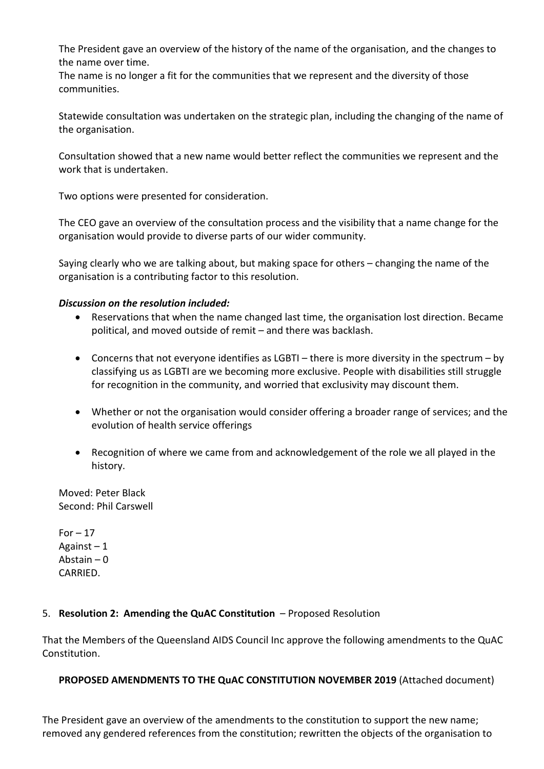The President gave an overview of the history of the name of the organisation, and the changes to the name over time.

The name is no longer a fit for the communities that we represent and the diversity of those communities.

Statewide consultation was undertaken on the strategic plan, including the changing of the name of the organisation.

Consultation showed that a new name would better reflect the communities we represent and the work that is undertaken.

Two options were presented for consideration.

The CEO gave an overview of the consultation process and the visibility that a name change for the organisation would provide to diverse parts of our wider community.

Saying clearly who we are talking about, but making space for others – changing the name of the organisation is a contributing factor to this resolution.

# *Discussion on the resolution included:*

- Reservations that when the name changed last time, the organisation lost direction. Became political, and moved outside of remit – and there was backlash.
- Concerns that not everyone identifies as LGBTI there is more diversity in the spectrum by classifying us as LGBTI are we becoming more exclusive. People with disabilities still struggle for recognition in the community, and worried that exclusivity may discount them.
- Whether or not the organisation would consider offering a broader range of services; and the evolution of health service offerings
- Recognition of where we came from and acknowledgement of the role we all played in the history.

Moved: Peter Black Second: Phil Carswell

 $For - 17$ Against  $-1$ Abstain – 0 CARRIED.

# 5. **Resolution 2: Amending the QuAC Constitution** – Proposed Resolution

That the Members of the Queensland AIDS Council Inc approve the following amendments to the QuAC Constitution.

# **PROPOSED AMENDMENTS TO THE QuAC CONSTITUTION NOVEMBER 2019** (Attached document)

The President gave an overview of the amendments to the constitution to support the new name; removed any gendered references from the constitution; rewritten the objects of the organisation to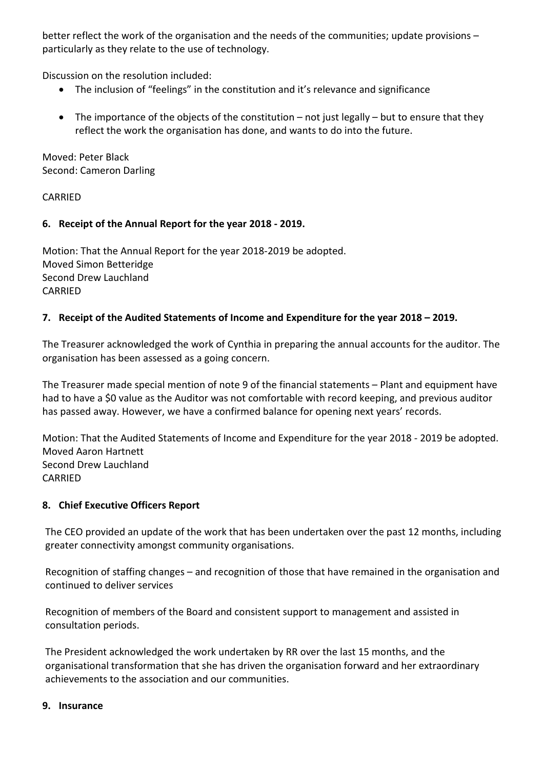better reflect the work of the organisation and the needs of the communities; update provisions – particularly as they relate to the use of technology.

Discussion on the resolution included:

- The inclusion of "feelings" in the constitution and it's relevance and significance
- The importance of the objects of the constitution  $-$  not just legally  $-$  but to ensure that they reflect the work the organisation has done, and wants to do into the future.

Moved: Peter Black Second: Cameron Darling

# **CARRIED**

# **6. Receipt of the Annual Report for the year 2018 - 2019.**

Motion: That the Annual Report for the year 2018-2019 be adopted. Moved Simon Betteridge Second Drew Lauchland CARRIED

# **7. Receipt of the Audited Statements of Income and Expenditure for the year 2018 – 2019.**

The Treasurer acknowledged the work of Cynthia in preparing the annual accounts for the auditor. The organisation has been assessed as a going concern.

The Treasurer made special mention of note 9 of the financial statements – Plant and equipment have had to have a \$0 value as the Auditor was not comfortable with record keeping, and previous auditor has passed away. However, we have a confirmed balance for opening next years' records.

Motion: That the Audited Statements of Income and Expenditure for the year 2018 - 2019 be adopted. Moved Aaron Hartnett Second Drew Lauchland CARRIED

# **8. Chief Executive Officers Report**

The CEO provided an update of the work that has been undertaken over the past 12 months, including greater connectivity amongst community organisations.

Recognition of staffing changes – and recognition of those that have remained in the organisation and continued to deliver services

Recognition of members of the Board and consistent support to management and assisted in consultation periods.

The President acknowledged the work undertaken by RR over the last 15 months, and the organisational transformation that she has driven the organisation forward and her extraordinary achievements to the association and our communities.

### **9. Insurance**